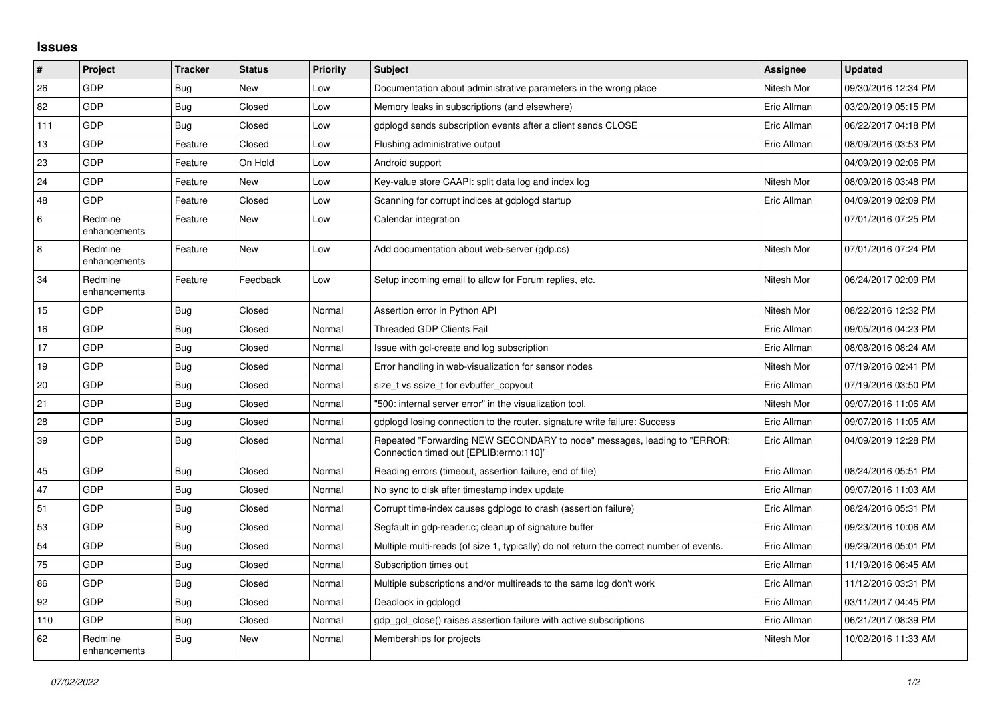## **Issues**

| #       | Project                 | <b>Tracker</b> | <b>Status</b> | <b>Priority</b> | <b>Subject</b>                                                                                                      | Assignee    | <b>Updated</b>      |
|---------|-------------------------|----------------|---------------|-----------------|---------------------------------------------------------------------------------------------------------------------|-------------|---------------------|
| 26      | GDP                     | Bug            | New           | Low             | Documentation about administrative parameters in the wrong place                                                    | Nitesh Mor  | 09/30/2016 12:34 PM |
| 82      | GDP                     | Bug            | Closed        | Low             | Memory leaks in subscriptions (and elsewhere)                                                                       | Eric Allman | 03/20/2019 05:15 PM |
| 111     | <b>GDP</b>              | Bug            | Closed        | Low             | adpload sends subscription events after a client sends CLOSE                                                        | Eric Allman | 06/22/2017 04:18 PM |
| 13      | GDP                     | Feature        | Closed        | Low             | Flushing administrative output                                                                                      | Eric Allman | 08/09/2016 03:53 PM |
| 23      | GDP                     | Feature        | On Hold       | Low             | Android support                                                                                                     |             | 04/09/2019 02:06 PM |
| 24      | <b>GDP</b>              | Feature        | <b>New</b>    | Low             | Key-value store CAAPI: split data log and index log                                                                 | Nitesh Mor  | 08/09/2016 03:48 PM |
| 48      | GDP                     | Feature        | Closed        | Low             | Scanning for corrupt indices at gdplogd startup                                                                     | Eric Allman | 04/09/2019 02:09 PM |
| $\,6\,$ | Redmine<br>enhancements | Feature        | <b>New</b>    | Low             | Calendar integration                                                                                                |             | 07/01/2016 07:25 PM |
| 8       | Redmine<br>enhancements | Feature        | <b>New</b>    | Low             | Add documentation about web-server (gdp.cs)                                                                         | Nitesh Mor  | 07/01/2016 07:24 PM |
| 34      | Redmine<br>enhancements | Feature        | Feedback      | Low             | Setup incoming email to allow for Forum replies, etc.                                                               | Nitesh Mor  | 06/24/2017 02:09 PM |
| 15      | <b>GDP</b>              | Bug            | Closed        | Normal          | Assertion error in Python API                                                                                       | Nitesh Mor  | 08/22/2016 12:32 PM |
| 16      | GDP                     | Bug            | Closed        | Normal          | Threaded GDP Clients Fail                                                                                           | Eric Allman | 09/05/2016 04:23 PM |
| 17      | GDP                     | <b>Bug</b>     | Closed        | Normal          | Issue with gcl-create and log subscription                                                                          | Eric Allman | 08/08/2016 08:24 AM |
| 19      | <b>GDP</b>              | Bug            | Closed        | Normal          | Error handling in web-visualization for sensor nodes                                                                | Nitesh Mor  | 07/19/2016 02:41 PM |
| 20      | <b>GDP</b>              | <b>Bug</b>     | Closed        | Normal          | size_t vs ssize_t for evbuffer_copyout                                                                              | Eric Allman | 07/19/2016 03:50 PM |
| 21      | GDP                     | Bug            | Closed        | Normal          | "500: internal server error" in the visualization tool.                                                             | Nitesh Mor  | 09/07/2016 11:06 AM |
| 28      | <b>GDP</b>              | Bug            | Closed        | Normal          | gdplogd losing connection to the router, signature write failure: Success                                           | Eric Allman | 09/07/2016 11:05 AM |
| 39      | <b>GDP</b>              | <b>Bug</b>     | Closed        | Normal          | Repeated "Forwarding NEW SECONDARY to node" messages, leading to "ERROR:<br>Connection timed out [EPLIB:errno:110]" | Eric Allman | 04/09/2019 12:28 PM |
| 45      | GDP                     | Bug            | Closed        | Normal          | Reading errors (timeout, assertion failure, end of file)                                                            | Eric Allman | 08/24/2016 05:51 PM |
| 47      | GDP                     | Bug            | Closed        | Normal          | No sync to disk after timestamp index update                                                                        | Eric Allman | 09/07/2016 11:03 AM |
| 51      | <b>GDP</b>              | <b>Bug</b>     | Closed        | Normal          | Corrupt time-index causes gdplogd to crash (assertion failure)                                                      | Eric Allman | 08/24/2016 05:31 PM |
| 53      | GDP                     | Bug            | Closed        | Normal          | Segfault in gdp-reader.c; cleanup of signature buffer                                                               | Eric Allman | 09/23/2016 10:06 AM |
| 54      | GDP                     | Bug            | Closed        | Normal          | Multiple multi-reads (of size 1, typically) do not return the correct number of events.                             | Eric Allman | 09/29/2016 05:01 PM |
| 75      | <b>GDP</b>              | Bug            | Closed        | Normal          | Subscription times out                                                                                              | Eric Allman | 11/19/2016 06:45 AM |
| 86      | GDP                     | Bug            | Closed        | Normal          | Multiple subscriptions and/or multireads to the same log don't work                                                 | Eric Allman | 11/12/2016 03:31 PM |
| 92      | GDP                     | <b>Bug</b>     | Closed        | Normal          | Deadlock in gdplogd                                                                                                 | Eric Allman | 03/11/2017 04:45 PM |
| 110     | <b>GDP</b>              | <b>Bug</b>     | Closed        | Normal          | gdp_gcl_close() raises assertion failure with active subscriptions                                                  | Eric Allman | 06/21/2017 08:39 PM |
| 62      | Redmine<br>enhancements | Bug            | New           | Normal          | Memberships for projects                                                                                            | Nitesh Mor  | 10/02/2016 11:33 AM |